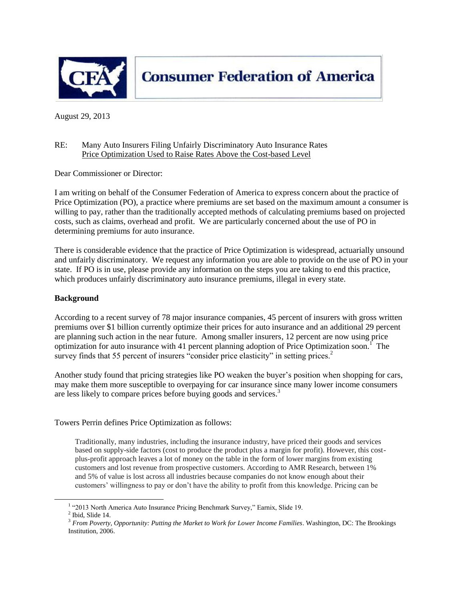

**Consumer Federation of America** 

August 29, 2013

#### RE: Many Auto Insurers Filing Unfairly Discriminatory Auto Insurance Rates Price Optimization Used to Raise Rates Above the Cost-based Level

Dear Commissioner or Director:

I am writing on behalf of the Consumer Federation of America to express concern about the practice of Price Optimization (PO), a practice where premiums are set based on the maximum amount a consumer is willing to pay, rather than the traditionally accepted methods of calculating premiums based on projected costs, such as claims, overhead and profit. We are particularly concerned about the use of PO in determining premiums for auto insurance.

There is considerable evidence that the practice of Price Optimization is widespread, actuarially unsound and unfairly discriminatory. We request any information you are able to provide on the use of PO in your state. If PO is in use, please provide any information on the steps you are taking to end this practice, which produces unfairly discriminatory auto insurance premiums, illegal in every state.

### **Background**

According to a recent survey of 78 major insurance companies, 45 percent of insurers with gross written premiums over \$1 billion currently optimize their prices for auto insurance and an additional 29 percent are planning such action in the near future. Among smaller insurers, 12 percent are now using price optimization for auto insurance with 41 percent planning adoption of Price Optimization soon.<sup>1</sup> The survey finds that 55 percent of insurers "consider price elasticity" in setting prices.<sup>2</sup>

Another study found that pricing strategies like PO weaken the buyer's position when shopping for cars, may make them more susceptible to overpaying for car insurance since many lower income consumers are less likely to compare prices before buying goods and services.<sup>3</sup>

Towers Perrin defines Price Optimization as follows:

Traditionally, many industries, including the insurance industry, have priced their goods and services based on supply-side factors (cost to produce the product plus a margin for profit). However, this costplus-profit approach leaves a lot of money on the table in the form of lower margins from existing customers and lost revenue from prospective customers. According to AMR Research, between 1% and 5% of value is lost across all industries because companies do not know enough about their customers' willingness to pay or don't have the ability to profit from this knowledge. Pricing can be

 $\overline{\phantom{a}}$ 

<sup>&</sup>lt;sup>1</sup> "2013 North America Auto Insurance Pricing Benchmark Survey," Earnix, Slide 19.

 $<sup>2</sup>$  Ibid, Slide 14.</sup>

<sup>&</sup>lt;sup>3</sup> From Poverty, Opportunity: Putting the Market to Work for Lower Income Families. Washington, DC: The Brookings Institution, 2006.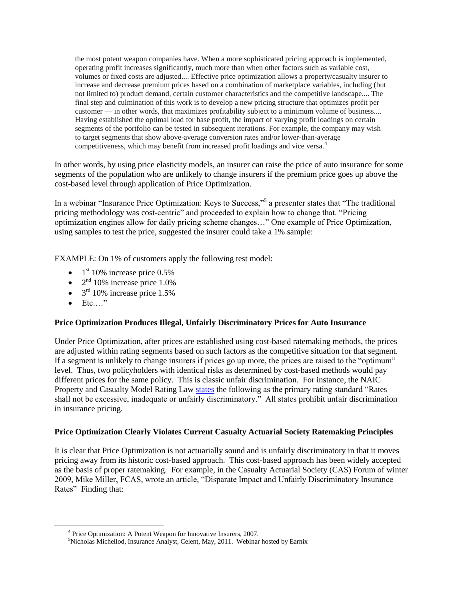the most potent weapon companies have. When a more sophisticated pricing approach is implemented, operating profit increases significantly, much more than when other factors such as variable cost, volumes or fixed costs are adjusted.... Effective price optimization allows a property/casualty insurer to increase and decrease premium prices based on a combination of marketplace variables, including (but not limited to) product demand, certain customer characteristics and the competitive landscape.... The final step and culmination of this work is to develop a new pricing structure that optimizes profit per customer — in other words, that maximizes profitability subject to a minimum volume of business.... Having established the optimal load for base profit, the impact of varying profit loadings on certain segments of the portfolio can be tested in subsequent iterations. For example, the company may wish to target segments that show above-average conversion rates and/or lower-than-average competitiveness, which may benefit from increased profit loadings and vice versa.<sup>4</sup>

In other words, by using price elasticity models, an insurer can raise the price of auto insurance for some segments of the population who are unlikely to change insurers if the premium price goes up above the cost-based level through application of Price Optimization.

In a webinar "Insurance Price Optimization: Keys to Success,"<sup>5</sup> a presenter states that "The traditional pricing methodology was cost-centric" and proceeded to explain how to change that. "Pricing optimization engines allow for daily pricing scheme changes…" One example of Price Optimization, using samples to test the price, suggested the insurer could take a 1% sample:

EXAMPLE: On 1% of customers apply the following test model:

- $\bullet$  1<sup>st</sup> 10% increase price 0.5%
- $2<sup>nd</sup> 10%$  increase price 1.0%
- $\bullet$  3<sup>rd</sup> 10% increase price 1.5%
- $\bullet$  Etc...."

l

### **Price Optimization Produces Illegal, Unfairly Discriminatory Prices for Auto Insurance**

Under Price Optimization, after prices are established using cost-based ratemaking methods, the prices are adjusted within rating segments based on such factors as the competitive situation for that segment. If a segment is unlikely to change insurers if prices go up more, the prices are raised to the "optimum" level. Thus, two policyholders with identical risks as determined by cost-based methods would pay different prices for the same policy. This is classic unfair discrimination. For instance, the NAIC Property and Casualty Model Rating Law [states](http://www.consumerfed.org/pdfs/CASTF_to_CAS_SOP_Ratemaking.pdf) the following as the primary rating standard "Rates shall not be excessive, inadequate or unfairly discriminatory." All states prohibit unfair discrimination in insurance pricing.

### **Price Optimization Clearly Violates Current Casualty Actuarial Society Ratemaking Principles**

It is clear that Price Optimization is not actuarially sound and is unfairly discriminatory in that it moves pricing away from its historic cost-based approach. This cost-based approach has been widely accepted as the basis of proper ratemaking. For example, in the Casualty Actuarial Society (CAS) Forum of winter 2009, Mike Miller, FCAS, wrote an article, "Disparate Impact and Unfairly Discriminatory Insurance Rates" Finding that:

<sup>&</sup>lt;sup>4</sup> Price Optimization: A Potent Weapon for Innovative Insurers, 2007.

<sup>&</sup>lt;sup>5</sup>Nicholas Michellod, Insurance Analyst, Celent, May, 2011. Webinar hosted by Earnix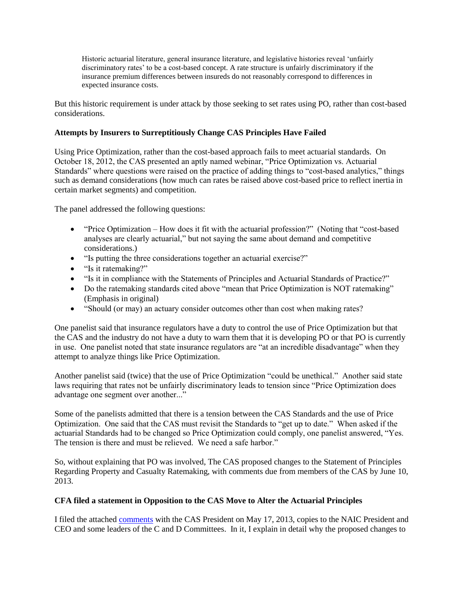Historic actuarial literature, general insurance literature, and legislative histories reveal 'unfairly discriminatory rates' to be a cost-based concept. A rate structure is unfairly discriminatory if the insurance premium differences between insureds do not reasonably correspond to differences in expected insurance costs.

But this historic requirement is under attack by those seeking to set rates using PO, rather than cost-based considerations.

### **Attempts by Insurers to Surreptitiously Change CAS Principles Have Failed**

Using Price Optimization, rather than the cost-based approach fails to meet actuarial standards. On October 18, 2012, the CAS presented an aptly named webinar, "Price Optimization vs. Actuarial Standards" where questions were raised on the practice of adding things to "cost-based analytics," things such as demand considerations (how much can rates be raised above cost-based price to reflect inertia in certain market segments) and competition.

The panel addressed the following questions:

- "Price Optimization How does it fit with the actuarial profession?" (Noting that "cost-based analyses are clearly actuarial," but not saying the same about demand and competitive considerations.)
- "Is putting the three considerations together an actuarial exercise?"
- "Is it ratemaking?"
- "Is it in compliance with the Statements of Principles and Actuarial Standards of Practice?"
- Do the ratemaking standards cited above "mean that Price Optimization is NOT ratemaking" (Emphasis in original)
- "Should (or may) an actuary consider outcomes other than cost when making rates?

One panelist said that insurance regulators have a duty to control the use of Price Optimization but that the CAS and the industry do not have a duty to warn them that it is developing PO or that PO is currently in use. One panelist noted that state insurance regulators are "at an incredible disadvantage" when they attempt to analyze things like Price Optimization.

Another panelist said (twice) that the use of Price Optimization "could be unethical." Another said state laws requiring that rates not be unfairly discriminatory leads to tension since "Price Optimization does advantage one segment over another..."

Some of the panelists admitted that there is a tension between the CAS Standards and the use of Price Optimization. One said that the CAS must revisit the Standards to "get up to date." When asked if the actuarial Standards had to be changed so Price Optimization could comply, one panelist answered, "Yes. The tension is there and must be relieved. We need a safe harbor."

So, without explaining that PO was involved, The CAS proposed changes to the Statement of Principles Regarding Property and Casualty Ratemaking, with comments due from members of the CAS by June 10, 2013.

# **CFA filed a statement in Opposition to the CAS Move to Alter the Actuarial Principles**

I filed the attached [comments](http://www.consumerfed.org/pdfs/SOP-Ratemaking-Letter-to-CAS.pdf) with the CAS President on May 17, 2013, copies to the NAIC President and CEO and some leaders of the C and D Committees. In it, I explain in detail why the proposed changes to